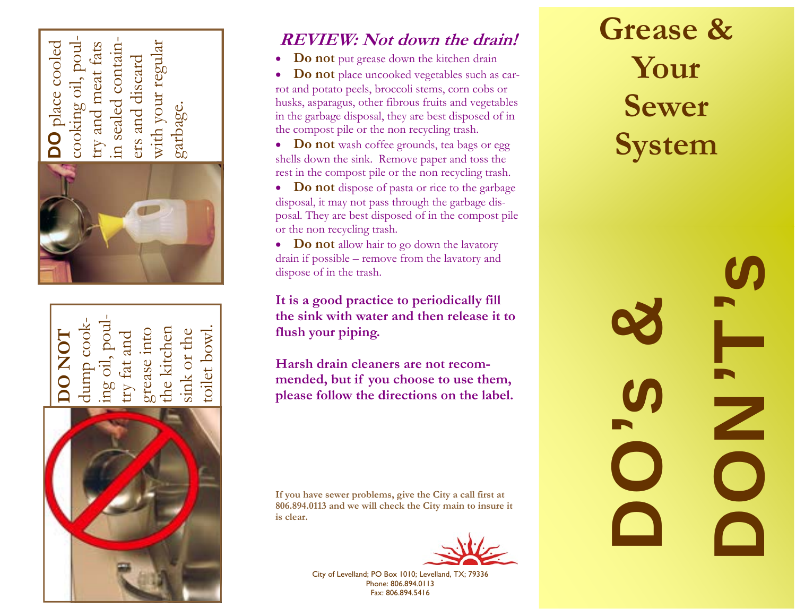**DO** place cooled with your regular cooking oil, poultry and meat fats in sealed containwith your regular place cooled cooking oil, poul and meat fats contain ers and discard and discard in sealed garbage. ers try





## **REVIEW: Not down the drain!**

- $\bullet$ **Do not** put grease down the kitchen drain
- $\bullet$  **Do not** place uncooked vegetables such as carrot and potato peels, broccoli stems, corn cobs or husks, asparagus, other fibrous fruits and vegetables in the garbage disposal, they are best disposed of in the compost pile or the non recycling trash.
- **Do not** wash coffee grounds, tea bags or egg shells down the sink. Remove paper and toss the rest in the compost pile or the non recycling trash.
- **Do not** dispose of pasta or rice to the garbage disposal, it may not pass through the garbage disposal. They are best disposed of in the compost pile or the non recycling trash.
- **Do not** allow hair to go down the lavatory drain if possible – remove from the lavatory and dispose of in the trash.

**It is a good practice to periodically fill the sink with water and then release it to flush your piping.** 

**Harsh drain cleaners are not recommended, but if you choose to use them, please follow the directions on the label.** 

**If you have sewer problems, give the City a call first at 806.894.0113 and we will check the City main to insure it is clear.** 



City of Levelland; PO Box 1010; Levelland, TX; 79336 Phone: 806.894.0113 Fax: 806.894.5416

## **Grease & Your Sewer System**

DONC<sup>S</sup> DO's & D<br>D<br>O<br>O